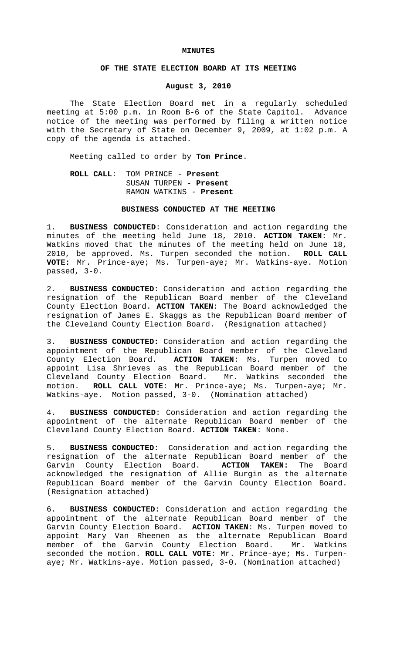#### **MINUTES**

## **OF THE STATE ELECTION BOARD AT ITS MEETING**

## **August 3, 2010**

The State Election Board met in a regularly scheduled meeting at 5:00 p.m. in Room B-6 of the State Capitol. Advance notice of the meeting was performed by filing a written notice with the Secretary of State on December 9, 2009, at 1:02 p.m. A copy of the agenda is attached.

Meeting called to order by **Tom Prince**.

# **ROLL CALL**: TOM PRINCE - **Present** SUSAN TURPEN - **Present** RAMON WATKINS - **Present**

## **BUSINESS CONDUCTED AT THE MEETING**

1. **BUSINESS CONDUCTED**: Consideration and action regarding the minutes of the meeting held June 18, 2010. **ACTION TAKEN**: Mr. Watkins moved that the minutes of the meeting held on June 18, 2010, be approved. Ms. Turpen seconded the motion. **ROLL CALL VOTE:** Mr. Prince-aye; Ms. Turpen-aye; Mr. Watkins-aye. Motion passed, 3-0.

2. **BUSINESS CONDUCTED**: Consideration and action regarding the resignation of the Republican Board member of the Cleveland County Election Board. **ACTION TAKEN**: The Board acknowledged the resignation of James E. Skaggs as the Republican Board member of the Cleveland County Election Board. (Resignation attached)

3. **BUSINESS CONDUCTED:** Consideration and action regarding the appointment of the Republican Board member of the Cleveland County Election Board. **ACTION TAKEN**: Ms. Turpen moved to appoint Lisa Shrieves as the Republican Board member of the Cleveland County Election Board. Mr. Watkins seconded the motion. **ROLL CALL VOTE**: Mr. Prince-aye; Ms. Turpen-aye; Mr. Watkins-aye. Motion passed, 3-0. (Nomination attached)

4. **BUSINESS CONDUCTED**: Consideration and action regarding the appointment of the alternate Republican Board member of the Cleveland County Election Board. **ACTION TAKEN**: None.

5. **BUSINESS CONDUCTED**: Consideration and action regarding the resignation of the alternate Republican Board member of the Garvin County Election Board. **ACTION TAKEN:** The Board acknowledged the resignation of Allie Burgin as the alternate Republican Board member of the Garvin County Election Board. (Resignation attached)

6. **BUSINESS CONDUCTED:** Consideration and action regarding the appointment of the alternate Republican Board member of the Garvin County Election Board. **ACTION TAKEN**: Ms. Turpen moved to appoint Mary Van Rheenen as the alternate Republican Board member of the Garvin County Election Board. Mr. Watkins seconded the motion. **ROLL CALL VOTE**: Mr. Prince-aye; Ms. Turpenaye; Mr. Watkins-aye. Motion passed, 3-0. (Nomination attached)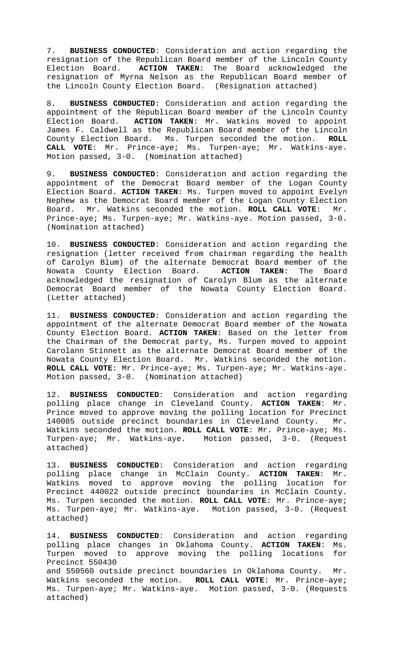7. **BUSINESS CONDUCTED**: Consideration and action regarding the resignation of the Republican Board member of the Lincoln County Election Board. **ACTION TAKEN**: The Board acknowledged the resignation of Myrna Nelson as the Republican Board member of the Lincoln County Election Board. (Resignation attached)

8. **BUSINESS CONDUCTED**: Consideration and action regarding the appointment of the Republican Board member of the Lincoln County Election Board. **ACTION TAKEN**: Mr. Watkins moved to appoint James F. Caldwell as the Republican Board member of the Lincoln County Election Board. Ms. Turpen seconded the motion. **ROLL CALL VOTE**: Mr. Prince-aye; Ms. Turpen-aye; Mr. Watkins-aye. Motion passed, 3-0. (Nomination attached)

9. **BUSINESS CONDUCTED**: Consideration and action regarding the appointment of the Democrat Board member of the Logan County Election Board. **ACTION TAKEN**: Ms. Turpen moved to appoint Evelyn Nephew as the Democrat Board member of the Logan County Election Board. Mr. Watkins seconded the motion. **ROLL CALL VOTE**: Mr. Prince-aye; Ms. Turpen-aye; Mr. Watkins-aye. Motion passed, 3-0. (Nomination attached)

10. **BUSINESS CONDUCTED**: Consideration and action regarding the resignation (letter received from chairman regarding the health of Carolyn Blum) of the alternate Democrat Board member of the Nowata County Election Board. **ACTION TAKEN**: The Board acknowledged the resignation of Carolyn Blum as the alternate Democrat Board member of the Nowata County Election Board. (Letter attached)

11. **BUSINESS CONDUCTED**: Consideration and action regarding the appointment of the alternate Democrat Board member of the Nowata County Election Board. **ACTION TAKEN**: Based on the letter from the Chairman of the Democrat party, Ms. Turpen moved to appoint Carolann Stinnett as the alternate Democrat Board member of the Nowata County Election Board. Mr. Watkins seconded the motion. **ROLL CALL VOTE**: Mr. Prince-aye; Ms. Turpen-aye; Mr. Watkins-aye. Motion passed, 3-0. (Nomination attached)

12. **BUSINESS CONDUCTED**: Consideration and action regarding polling place change in Cleveland County. **ACTION TAKEN**: Mr. Prince moved to approve moving the polling location for Precinct 140085 outside precinct boundaries in Cleveland County. Mr. Watkins seconded the motion. **ROLL CALL VOTE**: Mr. Prince-aye; Ms. Turpen-aye; Mr. Watkins-aye. Motion passed, 3-0. (Request attached)

13. **BUSINESS CONDUCTED**: Consideration and action regarding polling place change in McClain County. **ACTION TAKEN**: Mr. Watkins moved to approve moving the polling location for Precinct 440022 outside precinct boundaries in McClain County. Ms. Turpen seconded the motion. **ROLL CALL VOTE**: Mr. Prince-aye; Ms. Turpen-aye; Mr. Watkins-aye. Motion passed, 3-0. (Request attached)

14. **BUSINESS CONDUCTED**: Consideration and action regarding polling place changes in Oklahoma County. **ACTION TAKEN**: Ms. Turpen moved to approve moving the polling locations for Precinct 550430 and 550560 outside precinct boundaries in Oklahoma County. Mr. Watkins seconded the motion. **ROLL CALL VOTE**: Mr. Prince-aye; Ms. Turpen-aye; Mr. Watkins-aye. Motion passed, 3-0. (Requests attached)